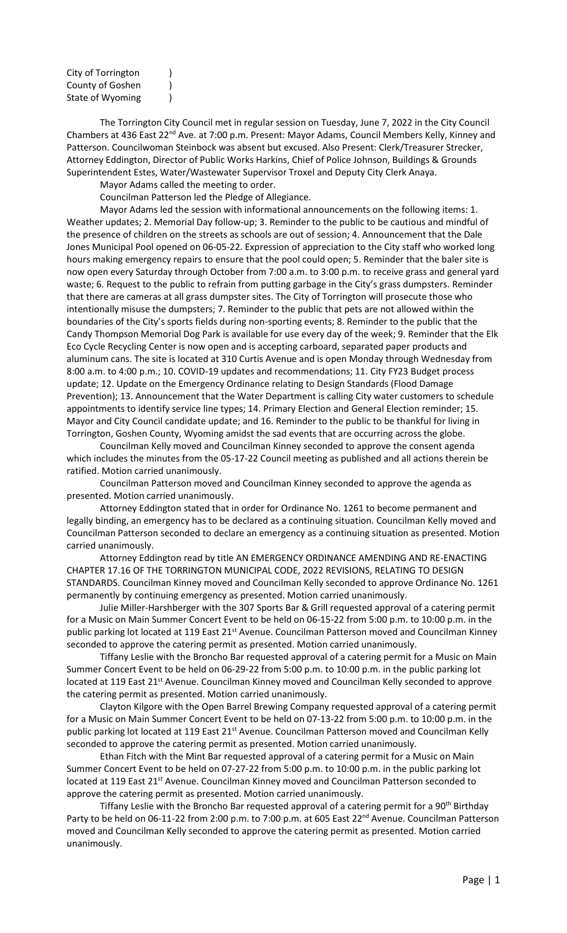City of Torrington ) County of Goshen (1) State of Wyoming (1)

The Torrington City Council met in regular session on Tuesday, June 7, 2022 in the City Council Chambers at 436 East 22<sup>nd</sup> Ave. at 7:00 p.m. Present: Mayor Adams, Council Members Kelly, Kinney and Patterson. Councilwoman Steinbock was absent but excused. Also Present: Clerk/Treasurer Strecker, Attorney Eddington, Director of Public Works Harkins, Chief of Police Johnson, Buildings & Grounds Superintendent Estes, Water/Wastewater Supervisor Troxel and Deputy City Clerk Anaya.

Mayor Adams called the meeting to order.

Councilman Patterson led the Pledge of Allegiance.

Mayor Adams led the session with informational announcements on the following items: 1. Weather updates; 2. Memorial Day follow-up; 3. Reminder to the public to be cautious and mindful of the presence of children on the streets as schools are out of session; 4. Announcement that the Dale Jones Municipal Pool opened on 06-05-22. Expression of appreciation to the City staff who worked long hours making emergency repairs to ensure that the pool could open; 5. Reminder that the baler site is now open every Saturday through October from 7:00 a.m. to 3:00 p.m. to receive grass and general yard waste; 6. Request to the public to refrain from putting garbage in the City's grass dumpsters. Reminder that there are cameras at all grass dumpster sites. The City of Torrington will prosecute those who intentionally misuse the dumpsters; 7. Reminder to the public that pets are not allowed within the boundaries of the City's sports fields during non-sporting events; 8. Reminder to the public that the Candy Thompson Memorial Dog Park is available for use every day of the week; 9. Reminder that the Elk Eco Cycle Recycling Center is now open and is accepting carboard, separated paper products and aluminum cans. The site is located at 310 Curtis Avenue and is open Monday through Wednesday from 8:00 a.m. to 4:00 p.m.; 10. COVID-19 updates and recommendations; 11. City FY23 Budget process update; 12. Update on the Emergency Ordinance relating to Design Standards (Flood Damage Prevention); 13. Announcement that the Water Department is calling City water customers to schedule appointments to identify service line types; 14. Primary Election and General Election reminder; 15. Mayor and City Council candidate update; and 16. Reminder to the public to be thankful for living in Torrington, Goshen County, Wyoming amidst the sad events that are occurring across the globe.

Councilman Kelly moved and Councilman Kinney seconded to approve the consent agenda which includes the minutes from the 05-17-22 Council meeting as published and all actions therein be ratified. Motion carried unanimously.

Councilman Patterson moved and Councilman Kinney seconded to approve the agenda as presented. Motion carried unanimously.

Attorney Eddington stated that in order for Ordinance No. 1261 to become permanent and legally binding, an emergency has to be declared as a continuing situation. Councilman Kelly moved and Councilman Patterson seconded to declare an emergency as a continuing situation as presented. Motion carried unanimously.

Attorney Eddington read by title AN EMERGENCY ORDINANCE AMENDING AND RE-ENACTING CHAPTER 17.16 OF THE TORRINGTON MUNICIPAL CODE, 2022 REVISIONS, RELATING TO DESIGN STANDARDS. Councilman Kinney moved and Councilman Kelly seconded to approve Ordinance No. 1261 permanently by continuing emergency as presented. Motion carried unanimously.

Julie Miller-Harshberger with the 307 Sports Bar & Grill requested approval of a catering permit for a Music on Main Summer Concert Event to be held on 06-15-22 from 5:00 p.m. to 10:00 p.m. in the public parking lot located at 119 East 21<sup>st</sup> Avenue. Councilman Patterson moved and Councilman Kinney seconded to approve the catering permit as presented. Motion carried unanimously.

Tiffany Leslie with the Broncho Bar requested approval of a catering permit for a Music on Main Summer Concert Event to be held on 06-29-22 from 5:00 p.m. to 10:00 p.m. in the public parking lot located at 119 East 21<sup>st</sup> Avenue. Councilman Kinney moved and Councilman Kelly seconded to approve the catering permit as presented. Motion carried unanimously.

Clayton Kilgore with the Open Barrel Brewing Company requested approval of a catering permit for a Music on Main Summer Concert Event to be held on 07-13-22 from 5:00 p.m. to 10:00 p.m. in the public parking lot located at 119 East 21<sup>st</sup> Avenue. Councilman Patterson moved and Councilman Kelly seconded to approve the catering permit as presented. Motion carried unanimously.

Ethan Fitch with the Mint Bar requested approval of a catering permit for a Music on Main Summer Concert Event to be held on 07-27-22 from 5:00 p.m. to 10:00 p.m. in the public parking lot located at 119 East 21<sup>st</sup> Avenue. Councilman Kinney moved and Councilman Patterson seconded to approve the catering permit as presented. Motion carried unanimously.

Tiffany Leslie with the Broncho Bar requested approval of a catering permit for a 90<sup>th</sup> Birthday Party to be held on 06-11-22 from 2:00 p.m. to 7:00 p.m. at 605 East 22<sup>nd</sup> Avenue. Councilman Patterson moved and Councilman Kelly seconded to approve the catering permit as presented. Motion carried unanimously.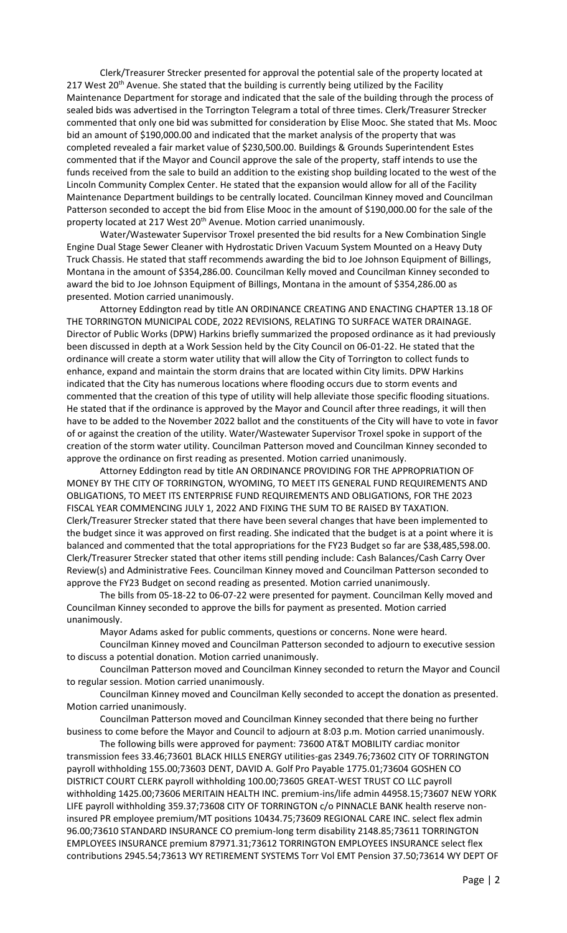Clerk/Treasurer Strecker presented for approval the potential sale of the property located at 217 West 20<sup>th</sup> Avenue. She stated that the building is currently being utilized by the Facility Maintenance Department for storage and indicated that the sale of the building through the process of sealed bids was advertised in the Torrington Telegram a total of three times. Clerk/Treasurer Strecker commented that only one bid was submitted for consideration by Elise Mooc. She stated that Ms. Mooc bid an amount of \$190,000.00 and indicated that the market analysis of the property that was completed revealed a fair market value of \$230,500.00. Buildings & Grounds Superintendent Estes commented that if the Mayor and Council approve the sale of the property, staff intends to use the funds received from the sale to build an addition to the existing shop building located to the west of the Lincoln Community Complex Center. He stated that the expansion would allow for all of the Facility Maintenance Department buildings to be centrally located. Councilman Kinney moved and Councilman Patterson seconded to accept the bid from Elise Mooc in the amount of \$190,000.00 for the sale of the property located at 217 West 20<sup>th</sup> Avenue. Motion carried unanimously.

Water/Wastewater Supervisor Troxel presented the bid results for a New Combination Single Engine Dual Stage Sewer Cleaner with Hydrostatic Driven Vacuum System Mounted on a Heavy Duty Truck Chassis. He stated that staff recommends awarding the bid to Joe Johnson Equipment of Billings, Montana in the amount of \$354,286.00. Councilman Kelly moved and Councilman Kinney seconded to award the bid to Joe Johnson Equipment of Billings, Montana in the amount of \$354,286.00 as presented. Motion carried unanimously.

Attorney Eddington read by title AN ORDINANCE CREATING AND ENACTING CHAPTER 13.18 OF THE TORRINGTON MUNICIPAL CODE, 2022 REVISIONS, RELATING TO SURFACE WATER DRAINAGE. Director of Public Works (DPW) Harkins briefly summarized the proposed ordinance as it had previously been discussed in depth at a Work Session held by the City Council on 06-01-22. He stated that the ordinance will create a storm water utility that will allow the City of Torrington to collect funds to enhance, expand and maintain the storm drains that are located within City limits. DPW Harkins indicated that the City has numerous locations where flooding occurs due to storm events and commented that the creation of this type of utility will help alleviate those specific flooding situations. He stated that if the ordinance is approved by the Mayor and Council after three readings, it will then have to be added to the November 2022 ballot and the constituents of the City will have to vote in favor of or against the creation of the utility. Water/Wastewater Supervisor Troxel spoke in support of the creation of the storm water utility. Councilman Patterson moved and Councilman Kinney seconded to approve the ordinance on first reading as presented. Motion carried unanimously.

Attorney Eddington read by title AN ORDINANCE PROVIDING FOR THE APPROPRIATION OF MONEY BY THE CITY OF TORRINGTON, WYOMING, TO MEET ITS GENERAL FUND REQUIREMENTS AND OBLIGATIONS, TO MEET ITS ENTERPRISE FUND REQUIREMENTS AND OBLIGATIONS, FOR THE 2023 FISCAL YEAR COMMENCING JULY 1, 2022 AND FIXING THE SUM TO BE RAISED BY TAXATION. Clerk/Treasurer Strecker stated that there have been several changes that have been implemented to the budget since it was approved on first reading. She indicated that the budget is at a point where it is balanced and commented that the total appropriations for the FY23 Budget so far are \$38,485,598.00. Clerk/Treasurer Strecker stated that other items still pending include: Cash Balances/Cash Carry Over Review(s) and Administrative Fees. Councilman Kinney moved and Councilman Patterson seconded to approve the FY23 Budget on second reading as presented. Motion carried unanimously.

The bills from 05-18-22 to 06-07-22 were presented for payment. Councilman Kelly moved and Councilman Kinney seconded to approve the bills for payment as presented. Motion carried unanimously.

Mayor Adams asked for public comments, questions or concerns. None were heard.

Councilman Kinney moved and Councilman Patterson seconded to adjourn to executive session to discuss a potential donation. Motion carried unanimously.

Councilman Patterson moved and Councilman Kinney seconded to return the Mayor and Council to regular session. Motion carried unanimously.

Councilman Kinney moved and Councilman Kelly seconded to accept the donation as presented. Motion carried unanimously.

Councilman Patterson moved and Councilman Kinney seconded that there being no further business to come before the Mayor and Council to adjourn at 8:03 p.m. Motion carried unanimously.

The following bills were approved for payment: 73600 AT&T MOBILITY cardiac monitor transmission fees 33.46;73601 BLACK HILLS ENERGY utilities-gas 2349.76;73602 CITY OF TORRINGTON payroll withholding 155.00;73603 DENT, DAVID A. Golf Pro Payable 1775.01;73604 GOSHEN CO DISTRICT COURT CLERK payroll withholding 100.00;73605 GREAT-WEST TRUST CO LLC payroll withholding 1425.00;73606 MERITAIN HEALTH INC. premium-ins/life admin 44958.15;73607 NEW YORK LIFE payroll withholding 359.37;73608 CITY OF TORRINGTON c/o PINNACLE BANK health reserve noninsured PR employee premium/MT positions 10434.75;73609 REGIONAL CARE INC. select flex admin 96.00;73610 STANDARD INSURANCE CO premium-long term disability 2148.85;73611 TORRINGTON EMPLOYEES INSURANCE premium 87971.31;73612 TORRINGTON EMPLOYEES INSURANCE select flex contributions 2945.54;73613 WY RETIREMENT SYSTEMS Torr Vol EMT Pension 37.50;73614 WY DEPT OF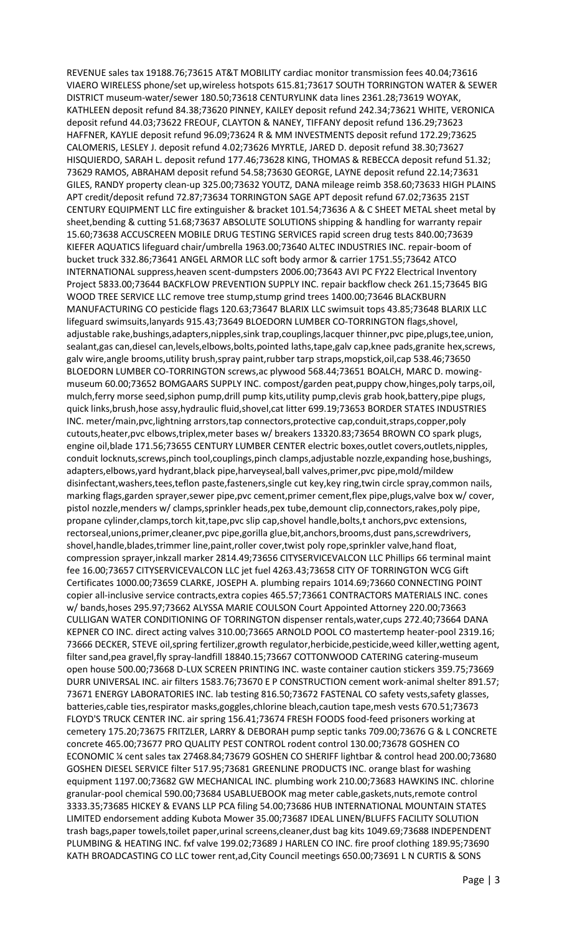REVENUE sales tax 19188.76;73615 AT&T MOBILITY cardiac monitor transmission fees 40.04;73616 VIAERO WIRELESS phone/set up,wireless hotspots 615.81;73617 SOUTH TORRINGTON WATER & SEWER DISTRICT museum-water/sewer 180.50;73618 CENTURYLINK data lines 2361.28;73619 WOYAK, KATHLEEN deposit refund 84.38;73620 PINNEY, KAILEY deposit refund 242.34;73621 WHITE, VERONICA deposit refund 44.03;73622 FREOUF, CLAYTON & NANEY, TIFFANY deposit refund 136.29;73623 HAFFNER, KAYLIE deposit refund 96.09;73624 R & MM INVESTMENTS deposit refund 172.29;73625 CALOMERIS, LESLEY J. deposit refund 4.02;73626 MYRTLE, JARED D. deposit refund 38.30;73627 HISQUIERDO, SARAH L. deposit refund 177.46;73628 KING, THOMAS & REBECCA deposit refund 51.32; 73629 RAMOS, ABRAHAM deposit refund 54.58;73630 GEORGE, LAYNE deposit refund 22.14;73631 GILES, RANDY property clean-up 325.00;73632 YOUTZ, DANA mileage reimb 358.60;73633 HIGH PLAINS APT credit/deposit refund 72.87;73634 TORRINGTON SAGE APT deposit refund 67.02;73635 21ST CENTURY EQUIPMENT LLC fire extinguisher & bracket 101.54;73636 A & C SHEET METAL sheet metal by sheet,bending & cutting 51.68;73637 ABSOLUTE SOLUTIONS shipping & handling for warranty repair 15.60;73638 ACCUSCREEN MOBILE DRUG TESTING SERVICES rapid screen drug tests 840.00;73639 KIEFER AQUATICS lifeguard chair/umbrella 1963.00;73640 ALTEC INDUSTRIES INC. repair-boom of bucket truck 332.86;73641 ANGEL ARMOR LLC soft body armor & carrier 1751.55;73642 ATCO INTERNATIONAL suppress,heaven scent-dumpsters 2006.00;73643 AVI PC FY22 Electrical Inventory Project 5833.00;73644 BACKFLOW PREVENTION SUPPLY INC. repair backflow check 261.15;73645 BIG WOOD TREE SERVICE LLC remove tree stump,stump grind trees 1400.00;73646 BLACKBURN MANUFACTURING CO pesticide flags 120.63;73647 BLARIX LLC swimsuit tops 43.85;73648 BLARIX LLC lifeguard swimsuits,lanyards 915.43;73649 BLOEDORN LUMBER CO-TORRINGTON flags,shovel, adjustable rake,bushings,adapters,nipples,sink trap,couplings,lacquer thinner,pvc pipe,plugs,tee,union, sealant,gas can,diesel can,levels,elbows,bolts,pointed laths,tape,galv cap,knee pads,granite hex,screws, galv wire,angle brooms,utility brush,spray paint,rubber tarp straps,mopstick,oil,cap 538.46;73650 BLOEDORN LUMBER CO-TORRINGTON screws,ac plywood 568.44;73651 BOALCH, MARC D. mowingmuseum 60.00;73652 BOMGAARS SUPPLY INC. compost/garden peat,puppy chow,hinges,poly tarps,oil, mulch,ferry morse seed,siphon pump,drill pump kits,utility pump,clevis grab hook,battery,pipe plugs, quick links,brush,hose assy,hydraulic fluid,shovel,cat litter 699.19;73653 BORDER STATES INDUSTRIES INC. meter/main,pvc,lightning arrstors,tap connectors,protective cap,conduit,straps,copper,poly cutouts,heater,pvc elbows,triplex,meter bases w/ breakers 13320.83;73654 BROWN CO spark plugs, engine oil,blade 171.56;73655 CENTURY LUMBER CENTER electric boxes,outlet covers,outlets,nipples, conduit locknuts,screws,pinch tool,couplings,pinch clamps,adjustable nozzle,expanding hose,bushings, adapters,elbows,yard hydrant,black pipe,harveyseal,ball valves,primer,pvc pipe,mold/mildew disinfectant,washers,tees,teflon paste,fasteners,single cut key,key ring,twin circle spray,common nails, marking flags,garden sprayer,sewer pipe,pvc cement,primer cement,flex pipe,plugs,valve box w/ cover, pistol nozzle,menders w/ clamps,sprinkler heads,pex tube,demount clip,connectors,rakes,poly pipe, propane cylinder,clamps,torch kit,tape,pvc slip cap,shovel handle,bolts,t anchors,pvc extensions, rectorseal,unions,primer,cleaner,pvc pipe,gorilla glue,bit,anchors,brooms,dust pans,screwdrivers, shovel,handle,blades,trimmer line,paint,roller cover,twist poly rope,sprinkler valve,hand float, compression sprayer,inkzall marker 2814.49;73656 CITYSERVICEVALCON LLC Phillips 66 terminal maint fee 16.00;73657 CITYSERVICEVALCON LLC jet fuel 4263.43;73658 CITY OF TORRINGTON WCG Gift Certificates 1000.00;73659 CLARKE, JOSEPH A. plumbing repairs 1014.69;73660 CONNECTING POINT copier all-inclusive service contracts,extra copies 465.57;73661 CONTRACTORS MATERIALS INC. cones w/ bands,hoses 295.97;73662 ALYSSA MARIE COULSON Court Appointed Attorney 220.00;73663 CULLIGAN WATER CONDITIONING OF TORRINGTON dispenser rentals,water,cups 272.40;73664 DANA KEPNER CO INC. direct acting valves 310.00;73665 ARNOLD POOL CO mastertemp heater-pool 2319.16; 73666 DECKER, STEVE oil,spring fertilizer,growth regulator,herbicide,pesticide,weed killer,wetting agent, filter sand,pea gravel,fly spray-landfill 18840.15;73667 COTTONWOOD CATERING catering-museum open house 500.00;73668 D-LUX SCREEN PRINTING INC. waste container caution stickers 359.75;73669 DURR UNIVERSAL INC. air filters 1583.76;73670 E P CONSTRUCTION cement work-animal shelter 891.57; 73671 ENERGY LABORATORIES INC. lab testing 816.50;73672 FASTENAL CO safety vests,safety glasses, batteries,cable ties,respirator masks,goggles,chlorine bleach,caution tape,mesh vests 670.51;73673 FLOYD'S TRUCK CENTER INC. air spring 156.41;73674 FRESH FOODS food-feed prisoners working at cemetery 175.20;73675 FRITZLER, LARRY & DEBORAH pump septic tanks 709.00;73676 G & L CONCRETE concrete 465.00;73677 PRO QUALITY PEST CONTROL rodent control 130.00;73678 GOSHEN CO ECONOMIC ¼ cent sales tax 27468.84;73679 GOSHEN CO SHERIFF lightbar & control head 200.00;73680 GOSHEN DIESEL SERVICE filter 517.95;73681 GREENLINE PRODUCTS INC. orange blast for washing equipment 1197.00;73682 GW MECHANICAL INC. plumbing work 210.00;73683 HAWKINS INC. chlorine granular-pool chemical 590.00;73684 USABLUEBOOK mag meter cable,gaskets,nuts,remote control 3333.35;73685 HICKEY & EVANS LLP PCA filing 54.00;73686 HUB INTERNATIONAL MOUNTAIN STATES LIMITED endorsement adding Kubota Mower 35.00;73687 IDEAL LINEN/BLUFFS FACILITY SOLUTION trash bags,paper towels,toilet paper,urinal screens,cleaner,dust bag kits 1049.69;73688 INDEPENDENT PLUMBING & HEATING INC. fxf valve 199.02;73689 J HARLEN CO INC. fire proof clothing 189.95;73690 KATH BROADCASTING CO LLC tower rent,ad,City Council meetings 650.00;73691 L N CURTIS & SONS